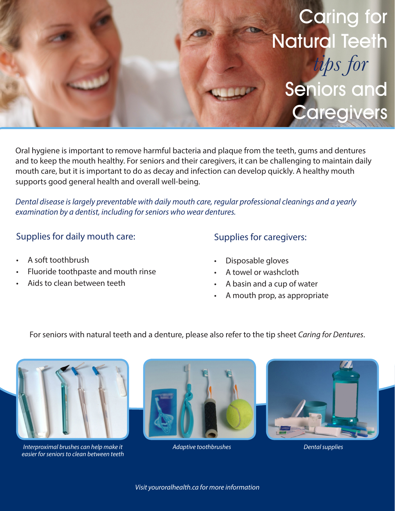

Oral hygiene is important to remove harmful bacteria and plaque from the teeth, gums and dentures and to keep the mouth healthy. For seniors and their caregivers, it can be challenging to maintain daily mouth care, but it is important to do as decay and infection can develop quickly. A healthy mouth supports good general health and overall well-being.

*Dental disease is largely preventable with daily mouth care, regular professional cleanings and a yearly examination by a dentist, including for seniors who wear dentures.* 

## Supplies for daily mouth care:

- A soft toothbrush
- Fluoride toothpaste and mouth rinse
- Aids to clean between teeth
- Supplies for caregivers:
- Disposable gloves
- A towel or washcloth
- A basin and a cup of water
- A mouth prop, as appropriate

For seniors with natural teeth and a denture, please also refer to the tip sheet *Caring for Dentures*.



*Interproximal brushes can help make it easier for seniors to clean between teeth*



*Adaptive toothbrushes Dental supplies*